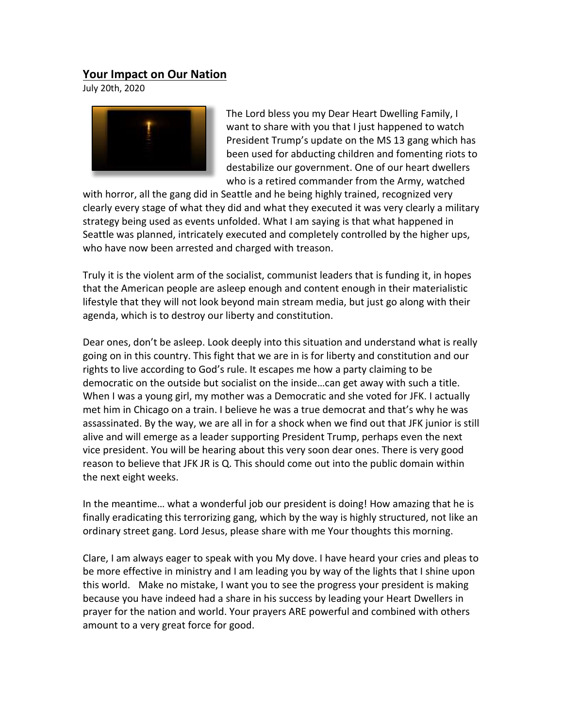## **Your Impact on Our Nation**

July 20th, 2020



The Lord bless you my Dear Heart Dwelling Family, I want to share with you that I just happened to watch President Trump's update on the MS 13 gang which has been used for abducting children and fomenting riots to destabilize our government. One of our heart dwellers who is a retired commander from the Army, watched

with horror, all the gang did in Seattle and he being highly trained, recognized very clearly every stage of what they did and what they executed it was very clearly a military strategy being used as events unfolded. What I am saying is that what happened in Seattle was planned, intricately executed and completely controlled by the higher ups, who have now been arrested and charged with treason.

Truly it is the violent arm of the socialist, communist leaders that is funding it, in hopes that the American people are asleep enough and content enough in their materialistic lifestyle that they will not look beyond main stream media, but just go along with their agenda, which is to destroy our liberty and constitution.

Dear ones, don't be asleep. Look deeply into this situation and understand what is really going on in this country. This fight that we are in is for liberty and constitution and our rights to live according to God's rule. It escapes me how a party claiming to be democratic on the outside but socialist on the inside…can get away with such a title. When I was a young girl, my mother was a Democratic and she voted for JFK. I actually met him in Chicago on a train. I believe he was a true democrat and that's why he was assassinated. By the way, we are all in for a shock when we find out that JFK junior is still alive and will emerge as a leader supporting President Trump, perhaps even the next vice president. You will be hearing about this very soon dear ones. There is very good reason to believe that JFK JR is Q. This should come out into the public domain within the next eight weeks.

In the meantime… what a wonderful job our president is doing! How amazing that he is finally eradicating this terrorizing gang, which by the way is highly structured, not like an ordinary street gang. Lord Jesus, please share with me Your thoughts this morning.

Clare, I am always eager to speak with you My dove. I have heard your cries and pleas to be more effective in ministry and I am leading you by way of the lights that I shine upon this world. Make no mistake, I want you to see the progress your president is making because you have indeed had a share in his success by leading your Heart Dwellers in prayer for the nation and world. Your prayers ARE powerful and combined with others amount to a very great force for good.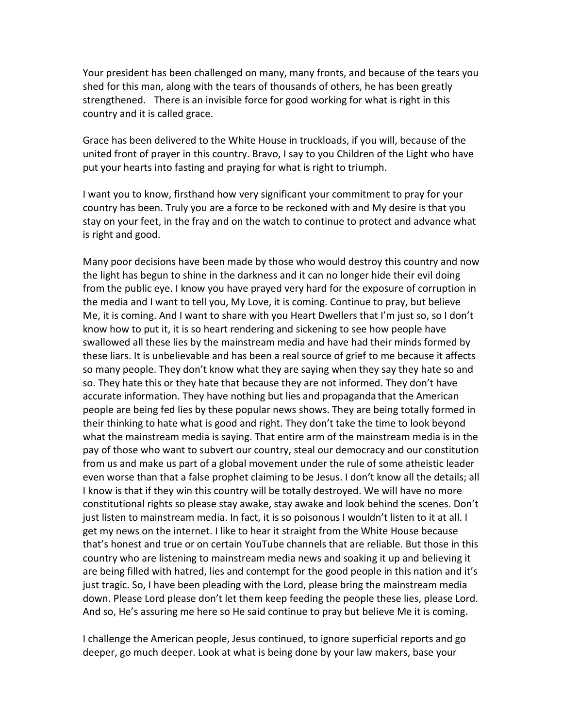Your president has been challenged on many, many fronts, and because of the tears you shed for this man, along with the tears of thousands of others, he has been greatly strengthened. There is an invisible force for good working for what is right in this country and it is called grace.   

Grace has been delivered to the White House in truckloads, if you will, because of the united front of prayer in this country. Bravo, I say to you Children of the Light who have put your hearts into fasting and praying for what is right to triumph.     

I want you to know, firsthand how very significant your commitment to pray for your country has been. Truly you are a force to be reckoned with and My desire is that you stay on your feet, in the fray and on the watch to continue to protect and advance what is right and good.

Many poor decisions have been made by those who would destroy this country and now the light has begun to shine in the darkness and it can no longer hide their evil doing from the public eye. I know you have prayed very hard for the exposure of corruption in the media and I want to tell you, My Love, it is coming. Continue to pray, but believe Me, it is coming. And I want to share with you Heart Dwellers that I'm just so, so I don't know how to put it, it is so heart rendering and sickening to see how people have swallowed all these lies by the mainstream media and have had their minds formed by these liars. It is unbelievable and has been a real source of grief to me because it affects so many people. They don't know what they are saying when they say they hate so and so. They hate this or they hate that because they are not informed. They don't have accurate information. They have nothing but lies and propaganda that the American people are being fed lies by these popular news shows. They are being totally formed in their thinking to hate what is good and right. They don't take the time to look beyond what the mainstream media is saying. That entire arm of the mainstream media is in the pay of those who want to subvert our country, steal our democracy and our constitution from us and make us part of a global movement under the rule of some atheistic leader even worse than that a false prophet claiming to be Jesus. I don't know all the details; all I know is that if they win this country will be totally destroyed. We will have no more constitutional rights so please stay awake, stay awake and look behind the scenes. Don't just listen to mainstream media. In fact, it is so poisonous I wouldn't listen to it at all. I get my news on the internet. I like to hear it straight from the White House because that's honest and true or on certain YouTube channels that are reliable. But those in this country who are listening to mainstream media news and soaking it up and believing it are being filled with hatred, lies and contempt for the good people in this nation and it's just tragic. So, I have been pleading with the Lord, please bring the mainstream media down. Please Lord please don't let them keep feeding the people these lies, please Lord. And so, He's assuring me here so He said continue to pray but believe Me it is coming.

I challenge the American people, Jesus continued, to ignore superficial reports and go deeper, go much deeper. Look at what is being done by your law makers, base your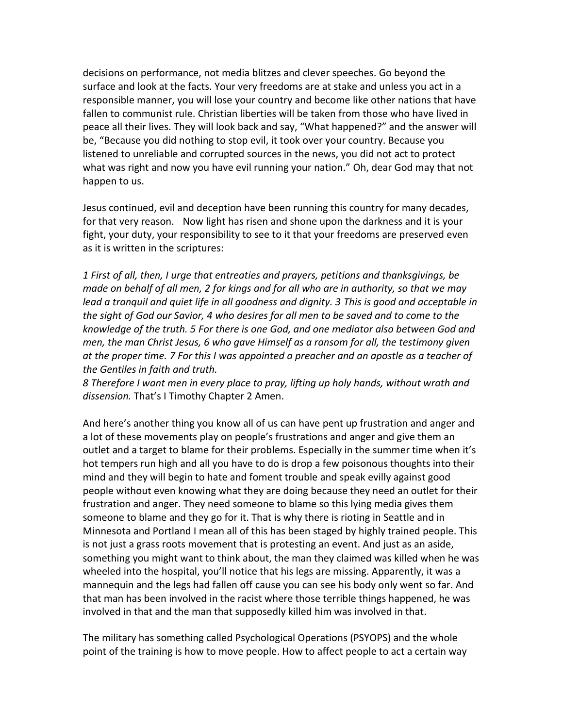decisions on performance, not media blitzes and clever speeches. Go beyond the surface and look at the facts. Your very freedoms are at stake and unless you act in a responsible manner, you will lose your country and become like other nations that have fallen to communist rule. Christian liberties will be taken from those who have lived in peace all their lives. They will look back and say, "What happened?" and the answer will be, "Because you did nothing to stop evil, it took over your country. Because you listened to unreliable and corrupted sources in the news, you did not act to protect what was right and now you have evil running your nation." Oh, dear God may that not happen to us.   

Jesus continued, evil and deception have been running this country for many decades, for that very reason. Now light has risen and shone upon the darkness and it is your fight, your duty, your responsibility to see to it that your freedoms are preserved even as it is written in the scriptures:

*1 First of all, then, I urge that entreaties and prayers, petitions and thanksgivings, be made on behalf of all men, 2 for kings and for all who are in authority, so that we may lead a tranquil and quiet life in all goodness and dignity. 3 This is good and acceptable in the sight of God our Savior, 4 who desires for all men to be saved and to come to the knowledge of the truth. 5 For there is one God, and one mediator also between God and men, the man Christ Jesus, 6 who gave Himself as a ransom for all, the testimony given at the proper time. 7 For this I was appointed a preacher and an apostle as a teacher of the Gentiles in faith and truth.*

*8 Therefore I want men in every place to pray, lifting up holy hands, without wrath and dissension.* That's I Timothy Chapter 2 Amen.

And here's another thing you know all of us can have pent up frustration and anger and a lot of these movements play on people's frustrations and anger and give them an outlet and a target to blame for their problems. Especially in the summer time when it's hot tempers run high and all you have to do is drop a few poisonous thoughts into their mind and they will begin to hate and foment trouble and speak evilly against good people without even knowing what they are doing because they need an outlet for their frustration and anger. They need someone to blame so this lying media gives them someone to blame and they go for it. That is why there is rioting in Seattle and in Minnesota and Portland I mean all of this has been staged by highly trained people. This is not just a grass roots movement that is protesting an event. And just as an aside, something you might want to think about, the man they claimed was killed when he was wheeled into the hospital, you'll notice that his legs are missing. Apparently, it was a mannequin and the legs had fallen off cause you can see his body only went so far. And that man has been involved in the racist where those terrible things happened, he was involved in that and the man that supposedly killed him was involved in that.

The military has something called Psychological Operations (PSYOPS) and the whole point of the training is how to move people. How to affect people to act a certain way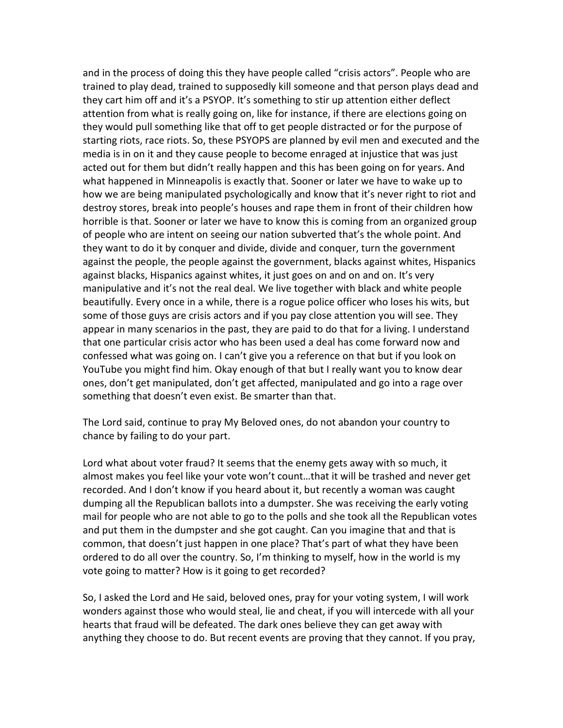and in the process of doing this they have people called "crisis actors". People who are trained to play dead, trained to supposedly kill someone and that person plays dead and they cart him off and it's a PSYOP. It's something to stir up attention either deflect attention from what is really going on, like for instance, if there are elections going on they would pull something like that off to get people distracted or for the purpose of starting riots, race riots. So, these PSYOPS are planned by evil men and executed and the media is in on it and they cause people to become enraged at injustice that was just acted out for them but didn't really happen and this has been going on for years. And what happened in Minneapolis is exactly that. Sooner or later we have to wake up to how we are being manipulated psychologically and know that it's never right to riot and destroy stores, break into people's houses and rape them in front of their children how horrible is that. Sooner or later we have to know this is coming from an organized group of people who are intent on seeing our nation subverted that's the whole point. And they want to do it by conquer and divide, divide and conquer, turn the government against the people, the people against the government, blacks against whites, Hispanics against blacks, Hispanics against whites, it just goes on and on and on. It's very manipulative and it's not the real deal. We live together with black and white people beautifully. Every once in a while, there is a rogue police officer who loses his wits, but some of those guys are crisis actors and if you pay close attention you will see. They appear in many scenarios in the past, they are paid to do that for a living. I understand that one particular crisis actor who has been used a deal has come forward now and confessed what was going on. I can't give you a reference on that but if you look on YouTube you might find him. Okay enough of that but I really want you to know dear ones, don't get manipulated, don't get affected, manipulated and go into a rage over something that doesn't even exist. Be smarter than that.

The Lord said, continue to pray My Beloved ones, do not abandon your country to chance by failing to do your part.

Lord what about voter fraud? It seems that the enemy gets away with so much, it almost makes you feel like your vote won't count…that it will be trashed and never get recorded. And I don't know if you heard about it, but recently a woman was caught dumping all the Republican ballots into a dumpster. She was receiving the early voting mail for people who are not able to go to the polls and she took all the Republican votes and put them in the dumpster and she got caught. Can you imagine that and that is common, that doesn't just happen in one place? That's part of what they have been ordered to do all over the country. So, I'm thinking to myself, how in the world is my vote going to matter? How is it going to get recorded?

So, I asked the Lord and He said, beloved ones, pray for your voting system, I will work wonders against those who would steal, lie and cheat, if you will intercede with all your hearts that fraud will be defeated. The dark ones believe they can get away with anything they choose to do. But recent events are proving that they cannot. If you pray,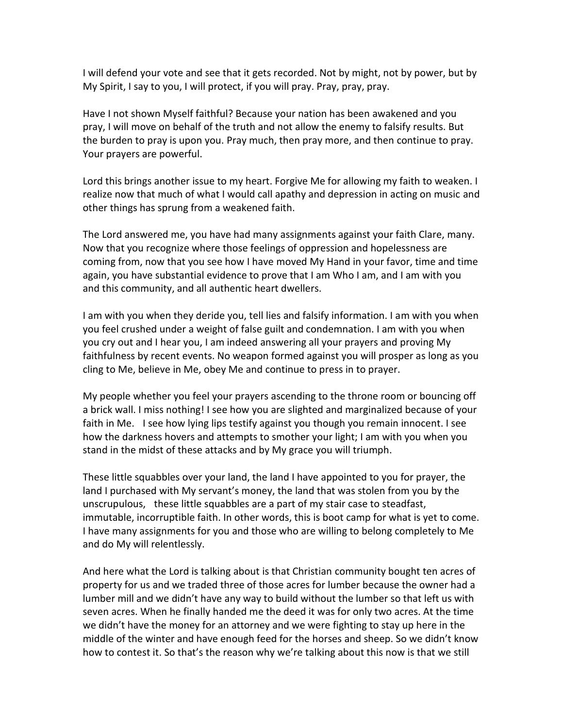I will defend your vote and see that it gets recorded. Not by might, not by power, but by My Spirit, I say to you, I will protect, if you will pray. Pray, pray, pray.   

Have I not shown Myself faithful? Because your nation has been awakened and you pray, I will move on behalf of the truth and not allow the enemy to falsify results. But the burden to pray is upon you. Pray much, then pray more, and then continue to pray. Your prayers are powerful.

Lord this brings another issue to my heart. Forgive Me for allowing my faith to weaken. I realize now that much of what I would call apathy and depression in acting on music and other things has sprung from a weakened faith.

The Lord answered me, you have had many assignments against your faith Clare, many. Now that you recognize where those feelings of oppression and hopelessness are coming from, now that you see how I have moved My Hand in your favor, time and time again, you have substantial evidence to prove that I am Who I am, and I am with you and this community, and all authentic heart dwellers.

I am with you when they deride you, tell lies and falsify information. I am with you when you feel crushed under a weight of false guilt and condemnation. I am with you when you cry out and I hear you, I am indeed answering all your prayers and proving My faithfulness by recent events. No weapon formed against you will prosper as long as you cling to Me, believe in Me, obey Me and continue to press in to prayer.

My people whether you feel your prayers ascending to the throne room or bouncing off a brick wall. I miss nothing! I see how you are slighted and marginalized because of your faith in Me. I see how lying lips testify against you though you remain innocent. I see how the darkness hovers and attempts to smother your light; I am with you when you stand in the midst of these attacks and by My grace you will triumph.

These little squabbles over your land, the land I have appointed to you for prayer, the land I purchased with My servant's money, the land that was stolen from you by the unscrupulous, these little squabbles are a part of my stair case to steadfast, immutable, incorruptible faith. In other words, this is boot camp for what is yet to come. I have many assignments for you and those who are willing to belong completely to Me and do My will relentlessly.

And here what the Lord is talking about is that Christian community bought ten acres of property for us and we traded three of those acres for lumber because the owner had a lumber mill and we didn't have any way to build without the lumber so that left us with seven acres. When he finally handed me the deed it was for only two acres. At the time we didn't have the money for an attorney and we were fighting to stay up here in the middle of the winter and have enough feed for the horses and sheep. So we didn't know how to contest it. So that's the reason why we're talking about this now is that we still